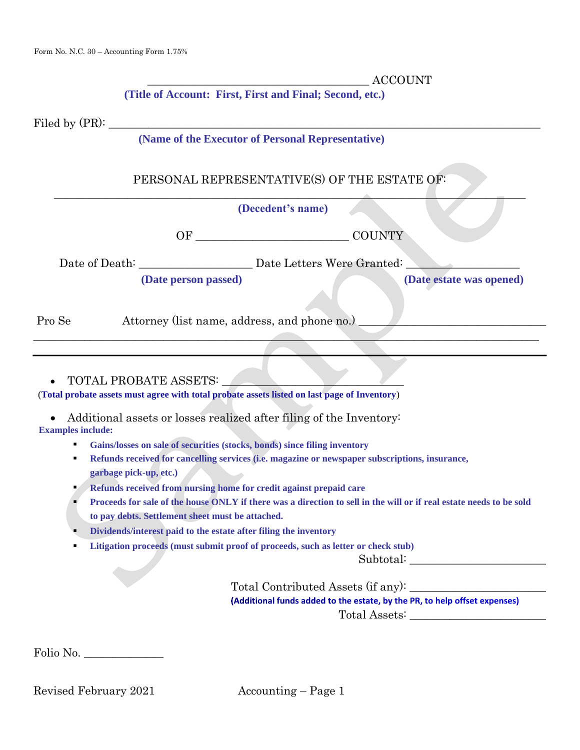| <b>CCOUNT</b><br><b>IV</b> |
|----------------------------|
|----------------------------|

 **(Title of Account: First, First and Final; Second, etc.)**

Filed by  $(PR)$ :

#### **(Name of the Executor of Personal Representative)**

# PERSONAL REPRESENTATIVE(S) OF THE ESTATE OF: \_\_\_\_\_\_\_\_\_\_\_\_\_\_\_\_\_\_\_\_\_\_\_\_\_\_\_\_\_\_\_\_\_\_\_\_\_\_\_\_\_\_\_\_\_\_\_\_\_\_\_\_\_\_\_\_\_\_\_\_\_\_\_\_\_\_\_\_\_\_\_\_\_\_\_\_\_\_\_\_\_\_\_

#### **(Decedent's name)**

OF COUNTY

 $\_\_\_\_\_\_\_\_\_\_\_\_\_$ 

Date of Death: \_\_\_\_\_\_\_\_\_\_\_\_\_\_\_\_\_\_\_\_ Date Letters Were Granted: \_\_\_\_\_\_\_\_\_\_\_\_\_\_\_\_\_\_\_\_

 **(Date person passed) (Date estate was opened)**

Pro Se Attorney (list name, address, and phone no.)

• TOTAL PROBATE ASSETS:

(**Total probate assets must agree with total probate assets listed on last page of Inventory**)

• Additional assets or losses realized after filing of the Inventory: **Examples include:**

▪ **Gains/losses on sale of securities (stocks, bonds) since filing inventory**

- **Refunds received for cancelling services (i.e. magazine or newspaper subscriptions, insurance, garbage pick-up, etc.)**
- **Refunds received from nursing home for credit against prepaid care**
- **Proceeds for sale of the house ONLY if there was a direction to sell in the will or if real estate needs to be sold to pay debts. Settlement sheet must be attached.**
- **Dividends/interest paid to the estate after filing the inventory**
- **Litigation proceeds (must submit proof of proceeds, such as letter or check stub)**

Subtotal: \_\_\_\_\_\_\_\_\_\_\_\_\_\_\_\_\_\_\_\_\_\_\_\_

Total Contributed Assets (if any): (Additional funds added to the estate, by the PR, to help offset expenses) Total Assets:

Folio No. \_\_\_\_\_\_\_\_\_\_\_\_\_\_

Revised February 2021 Accounting – Page 1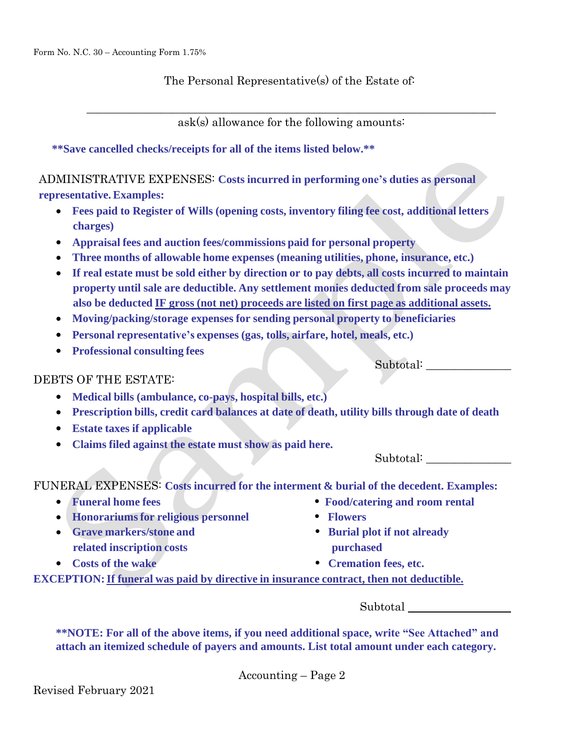The Personal Representative(s) of the Estate of:

 $\_$  , and the contribution of the contribution of  $\mathcal{L}_\mathcal{A}$  , and the contribution of  $\mathcal{L}_\mathcal{A}$ ask(s) allowance for the following amounts:

**\*\*Save cancelled checks/receipts for all of the items listed below.\*\***

ADMINISTRATIVE EXPENSES: **Costs incurred in performing one's duties as personal representative. Examples:**

- **Fees paid to Register of Wills (opening costs, inventory filing fee cost, additional letters charges)**
- **Appraisal fees and auction fees/commissions paid for personal property**
- **Three months of allowable home expenses (meaning utilities, phone, insurance, etc.)**
- **If real estate must be sold either by direction or to pay debts, all costs incurred to maintain property until sale are deductible. Any settlement monies deducted from sale proceeds may also be deducted IF gross (not net) proceeds are listed on first page as additional assets.**
- **Moving/packing/storage expenses for sending personal property to beneficiaries**
- **Personal representative's expenses (gas, tolls, airfare, hotel, meals, etc.)**
- **Professional consulting fees**

Subtotal:

### DEBTS OF THE ESTATE:

- **Medical bills (ambulance, co-pays, hospital bills, etc.)**
- **Prescription bills, credit card balances at date of death, utility bills through date of death**
- **Estate taxes if applicable**
- **Claims filed against the estate must show as paid here.**

Subtotal:

FUNERAL EXPENSES: **Costs incurred for the interment & burial of the decedent. Examples:**

- 
- **Honorariumsfor religious personnel • Flowers**
- **Grave markers/stone and • Burial plot if not already related inscription costs purchased**
- 
- **Funeral home fees • Food/catering and room rental**
	-
	-
- **Costs of the wake • Cremation fees, etc.**

**EXCEPTION:If funeral was paid by directive in insurance contract, then not deductible.**

Subtotal

**\*\*NOTE: For all of the above items, if you need additional space, write "See Attached" and attach an itemized schedule of payers and amounts. List total amount under each category.**

Accounting – Page 2